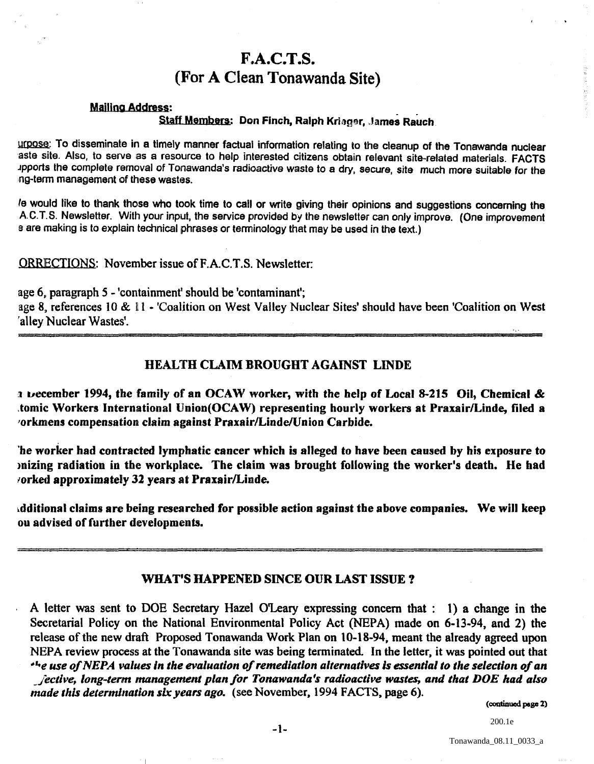# F.A.C.T.S. (For A Clean Tonawanda Site)

#### Mailing Address:

### Staff Members: Don Finch, Ralph Kriager, James Rauch.

urpose: To disseminate in a timely manner factual information relating to the cleanup of the Tonawanda nuclear 'aste site. Also, to serve as a resource to help interested citizens obtain relevant site-related materials. FACTS Jpports the complete removal of Tonawanda's radioactive waste to a dry, secure, site much more suitable for the n9-term management of these wastes.

Ie would like to thank those who took time to call or write giving their opinions and suggestions conceming the AC.T.S. Newsletter. With your input. the service provided by the newsletter can only improve. (One improvement a are making is to explain technical phrases or terminology that may be used in the text.)

ORRECTIONS: November issue ofF.A.C.T.S. Newsletter:

age 6. paragraph 5 - 'containment' should be 'contaminant'; age 8. references 10 & 11 - 'Coalition on West Valley Nuclear Sites' should have been 'Coalition on West

'alley Nuclear Wastes'.

#### HEALTH CLAIM BROUGHT AGAINST LINDE

a vecember 1994, the family of an OCAW worker, with the help of Local 8-215 Oil, Chemical & .tomic Workers International Union(OCA W) representing hourly workers at PraxairlLinde, filed a 'orkmens compensation claim against Praxair/LindelUnion Carbide.

'be worker had contracted lymphatic cancer which is alleged to have been caused by his exposure to inizing radiation in the workplace. The claim was brought following the worker's death. He had **/orked approximately 32 years at Praxair/Linde.** 

~dditional claims are being researched for possible action against the above companies. We will keep ou advised of further developments.

## WHAT'S HAPPENED SINCE OUR LAST ISSUE?

, A letter was sent to DOE Secretary Hazel O'leary expressing concern that: 1) a change in the Secretarial Policy on the National Environmental Policy Act (NEPA) made on 6-13-94, and 2) the release of the new draft Proposed Tonawanda Work Plan on 10-18-94, meant the already agreed upon NEPA review process at the Tonawanda site was being terminated. In the letter, it was pointed out that *r\*'-e use of NEPA values In the evaluation of remediation alternatives Is essential to the selection of an* 

*\_/ectlve, long-term management plan/or Tonawanda's radioactive wastes, and that DOE had also made this determination six years ago.* (see November, 1994 FACTS, page 6).

(continued page 2)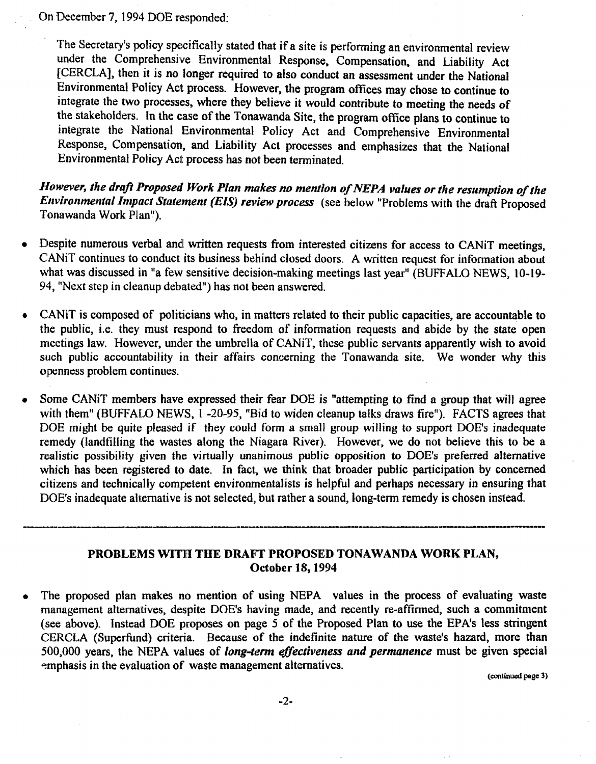On December 7, 1994 DOE responded:

The Secretary's policy specifically stated that if a site is performing an environmental review under the Comprehensive Environmental Response, Compensation, and Liability Act [CERCLA], then it is no longer required to also conduct an assessment under the National Environmental Policy Act process. However, the program offices may chose to continue to integrate the two processes, where they believe it would contribute to meeting the needs of the stakeholders. In the case of the Tonawanda Site, the program office plans to continue to integrate the National Environmental Policy Act and Comprehensive Environmental Response, Compensation, and Liability Act processes and emphasizes that the National Environmental Policy Act process has not been terminated.

*llowever, the draft Proposed Work Plan makes no mention of NEPA values or the resumption of the Environmental Impact Statement (EIS) review process* (see below "Problems with the draft Proposed Tonawanda Work Plan").

- Despite numerous verbal and written requests from interested citizens for access to CANiT meetings, CANiT continues to conduct its business behind closed doors. A written request for information about what was discussed in "a few sensitive decision-making meetings last year" (BUFFALO NEWS. 10-19- 94, "Next step in cleanup debated") has not been answered.
- CANiT is composed of politicians who. in matters related to their public capacities, are accountable to the public, i.e. they must respond to freedom of information requests and abide by the state open meetings law. However. under the umbrella of CANiT, these public servants apparently wish to avoid such public accountability in their affairs concerning the Tonawanda site. We wonder why this openness problem continues.
- Some CANiT members have expressed their fear DOE is "attempting to find a group that will agree with them" (BUFFALO NEWS, 1-20-95, "Bid to widen cleanup talks draws fire"). FACTS agrees that DOE might be quite pleased if they could form a small group willing to support DOE's inadequate remedy (landfilIing the wastes along the Niagara River). However, we do not believe this to be a realistic possibility given the virtually unanimous public opposition to DOE's preferred alternative which has been registered to date. In fact, we think that broader public participation by concerned citizens and technically competent environmentalists is helpful and perhaps necessary in ensuring that DOE's inadequate alternative is not selected, but rather a sound, long-term remedy is chosen instead. **POLUMIQUE ENTRINITY TO NOT BOYOGOG, OUR FUNDE & BOURG, FORM** TURNUS IS UNDOON MOVUM.

# PROBLEMS WITH THE DRAFT PROPOSED TONAWANDA WORK PLAN, October 18, 1994

The proposed plan makes no mention of using NEPA values in the process of evaluating waste management alternatives, despite DOE's having made, and recently re-affirmed, such a commitment (see above). Instead DOE proposes on page 5 of the Proposed Plan to use the EPA's less stringent CERCLA (Superfund) criteria. Because of the indefinite nature of the waste's hazard, more than 500,000 years, the NEPA values of *long-term effectiveness and permanence* must be given special emphasis in the evaluation of waste management alternatives.

(continued page 3)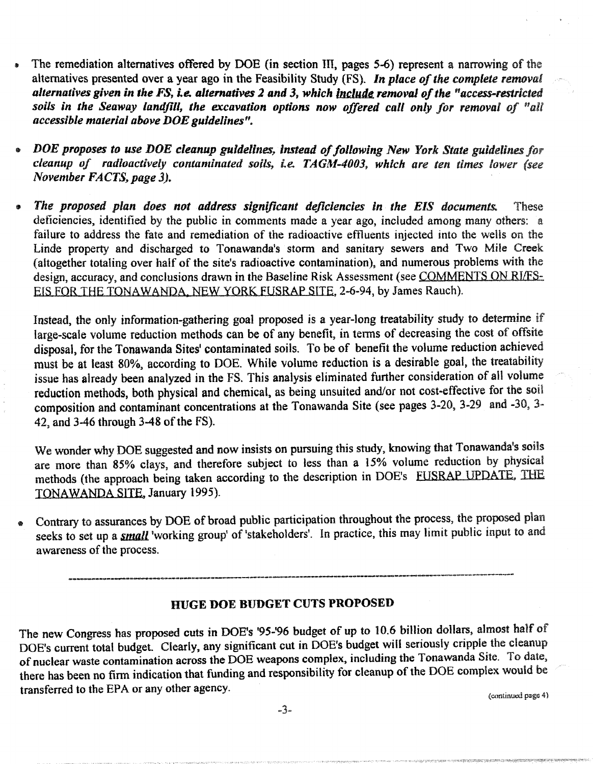- The remediation alternatives offered by DOE (in section III, pages 5-6) represent a narrowing of the alternatives presented over a year ago in the Feasibility Study (FS). *In place of the complete removal alternatives given in the FS, i.e. alternatives* 2 *and* 3, *which Include removal 0/ the "access-restrlcted*  soils in the Seaway landfill, the excavation options now offered call only for removal of "all *accessible material above* DOE *guidelines".*
- <sup>~</sup>*DOE proposes to use DOE cleanup guidelines, instead of following New York State guidelines for cleanup of radioactively contaminated soiis, i.e.* T A GM-4003, *which are ten times lower (see November* FACTS, *page* 3).
- *The proposed plan does not address significant deficiencies in the EIS documents.* These deficiencies, identified by the public in comments made a year ago, included among many others: a failure to address the fate and remediation of the radioactive effluents injected into the wells on the Linde property and discharged to Tonawanda's storm and sanitary sewers and Two Mile Creek (altogether totaling over half of the site's radioactive contamination), and numerous problems with the design, accuracy, and conclusions drawn in the Baseline Risk Assessment (see COMMENTS ON RI/FS-ErS FOR THE TONAWANDA, NEW YORK FUSRAP SITE, 2-6-94, by James Rauch).

Instead, the only information-gathering goal proposed is a year-long treatability study to determine if large-scale volume reduction methods can be of any benefit, in terms of decreasing the cost of offsite disposal, for the Tonawanda Sites' contaminated soils. To be of benefit the volume reduction achieved must be at least 80%. according to DOE. While volume reduction is a desirable goal, the treatability issue has already been analyzed in the FS. This analysis eliminated further consideration of all volume reduction methods, both physical and chemical, as being unsuited and/or not cost-effective for the soil composition and contaminant concentrations at the Tonawanda Site (see pages 3-20, 3-29 and -30. 3- 42, and 3-46 through 3-48 of the FS).

We wonder why DOE suggested and now insists on pursuing this study. knowing that Tonawanda's soils are more than 85% clays, and therefore subject to less than a 15% volume reduction by physical methods (the approach being taken according to the description in DOE's FUSRAP UPDATE, IHE TONAWANDA SITE. January 1995).

• Contrary to assurances by DOE of broad public participation throughout the process, the proposed plan seeks to set up a *small* 'working group' of 'stakeholders'. In practice, this may limit public input to and awareness of the process.

\_\_\_\_\_\_\_\_\_\_\_\_\_\_\_\_\_\_\_ -. \_\_\_ a \_\_\_\_\_\_\_\_\_\_\_\_\_\_\_\_\_\_\_\_\_\_\_\_\_\_\_\_\_\_\_\_\_\_\_\_\_\_\_\_\_\_\_\_\_\_\_ --------------------------------~-----=-----

## HUGE DOE BUDGET CUTS PROPOSED

The new Congress has proposed cuts in DOE's '95-'96 budget of up to 10.6 billion dollars, almost half of DOE's current total budget. Clearly, any significant cut in DOE's budget will seriously cripple the cleanup of nuclear waste contamination across the DOE weapons complex, including the Tonawanda Site. To date, there has been no firm indication that funding and responsibility for cleanup of the DOE complex would be transferred to the EPA or any other agency.

(continued page 4)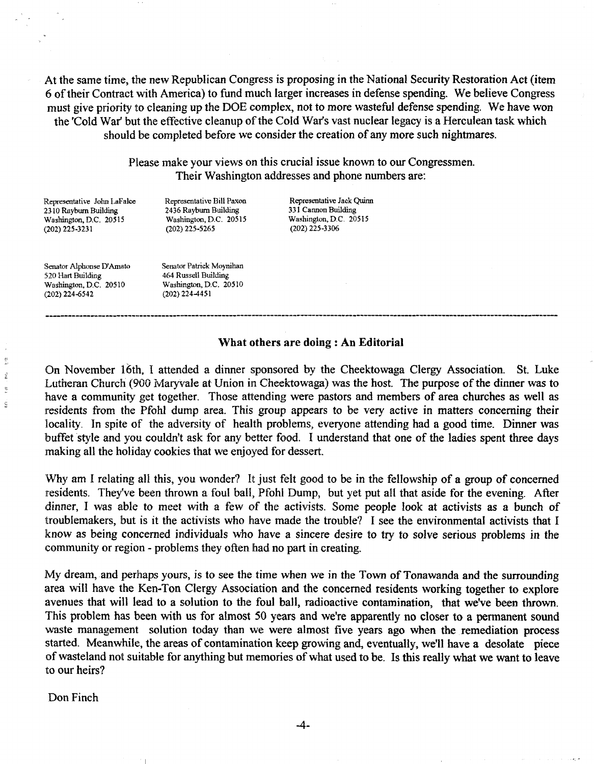At the same time, the new Republican Congress is proposing in the National Security Restoration Act (item 6 of their Contract with America) to fund much larger increases in defense spending. We believe Congress must give priority to cleaning up the DOE complex, not to more wasteful defense spending. We have won the 'Cold War' but the effective cleanup of the Cold War's vast nuclear legacy is a Herculean task which should be completed before we consider the creation of any more such nightmares.

> Please make your views on this crucial issue known to our Congressmen. Their Washington addresses and phone numbers are:

Representative John LaFalce 2310 Rayburn Building Washington, D.C. 20515 (202) 225-3231

Representative Bill Paxon 2436 Rayburn Building Washington, D.C. 20515 (202) 225-5265

Representative Jack Quinn 331 Cannon Building Washington, D.C. 20515 (202) 225-3306

Senator Alphonse D'Amato 520 Hart Building Washington, D.C. 20510  $(202)$  224-6542

蔡  $\hat{\mathbf{z}}$  $\frac{1}{2}$ i.

Senator Patrick Moynihan 464 Russell Building Washington, D.C. 20510 (202) 224-4451

#### \Vhat others are doing: An Editorial

On November 16th, I attended a dinner sponsored by the Cheektowaga Clergy Association. St. Luke Lutheran Church (900 Maryvale at Union in Cheektowaga) was the host. The purpose of the dinner was to have a community get together. Those attending were pastors and members of area churches as well as residents from the Pfohl dump area. This group appears to be very active in matters concerning their locality. In spite of the adversity of health problems, everyone attending had a good time. Dinner was buffet style and you couldn't ask for any better food. I understand that one of the ladies spent three days making all the holiday cookies that we enjoyed for dessert.

'Why am I relating all this, you wonder? It just felt good to be in the fellowship of a group of concerned residents. They've been thrown a foul ball, Pfohl Dump, but yet put all that aside for the evening. After dinner, I was able to meet with a few of the activists. Some people look at activists as a bunch of troublemakers, but is it the activists who have made the trouble? I see the environmental activists that I know as being concerned individuals who have a sincere desire to try to solve serious problems in the community or region - problems they often had no part in creating.

My dream, and perhaps yours, is to see the time when we in the Town of Tonawanda and the surrounding area will have the Ken-Ton Clergy Association and the concerned residents working together to explore avenues that will lead to a solution to the foul ball, radioactive contamination, that we've been thrown. This problem has been with us for almost 50 years and we're apparently no closer to a permanent sound waste management solution today than we were almost five years ago when the remediation process started. Meanwhile, the areas of contamination keep growing and, eventually, we'll have a desolate piece of wasteland not suitable for anything but memories of what used to be. Is this really what we want to leave lto our heirs?

Don Finch

-4-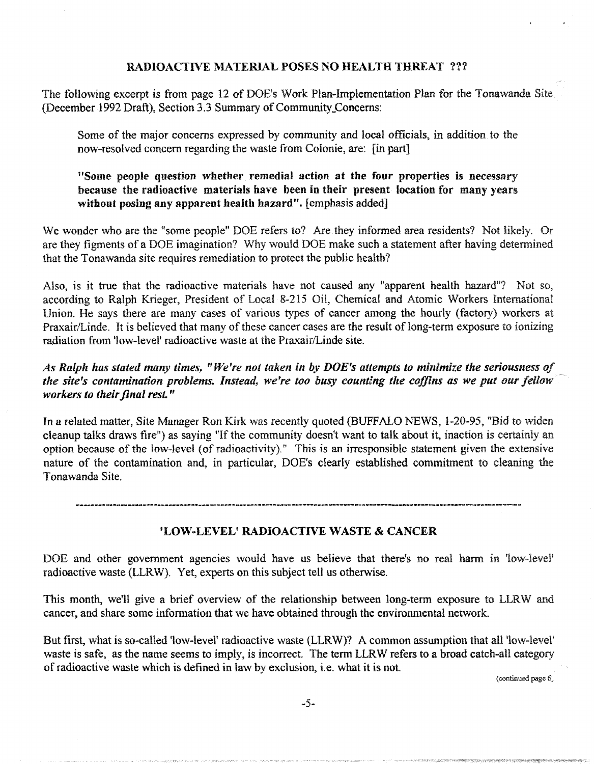## RADIOACTIVE MATERIAL POSES NO HEALTH THREAT ???

The following excerpt is from page 12 of DOE's Work Plan-Implementation Plan for the Tonawanda Site (December 1992 Draft), Section 3.3 Summary of Community\_Concerns:

Some of the major concerns expressed by community and local officials, in addition to the now-resolved concern regarding the waste from Colonie, are: [in part]

## "Some people question whether remedial action at the four properties is necessary because the radioactive materials have been in their present location for many years without posing any apparent health hazard". [emphasis added]

We wonder who are the "some people" DOE refers to? Are they informed area residents? Not likely. Or are they figments of a DOE imagination? Why would DOE make such a statement after having determined that the Tonawanda site requires remediation to protect the public health?

Also, is it true that the radioactive materials have not caused any "apparent health hazard"? Not so, according to Ralph Krieger, President of Local 8-215 Oil, Chemical and Atomic Workers International Union. He says there are many cases of various types of cancer among the hourly (factory) workers at Praxair/Linde. It is believed that many of these cancer cases are the result of long-term exposure to ionizing radiation from 'low-level' radioactive waste at the Praxair/Linde site.

*As Ralph has stated many times,* " *We're not taken in by DOE's attempts to minimize the seriousness of the site's contamination problems. Instead, we're too busy counting the coffins as we put our fellow· workers to their final rest. "* 

In a related matter, Site Manager Ron Kirk was recently quoted (BUFFALO NEWS, 1-20-95. "Bid to widen cleanup talks draws fire") as saying "If the community doesn't want to talk about it, inaction is certainly an option because of the low-level (of radioactivity)." This is an irresponsible statement given the extensive nature of the contamination and, in particular, DOE's clearly established commitment to cleaning the Tonawanda Site.

## 'LOW-LEVEL' RADIOACTIVE WASTE & CANCER

DOE and other government agencies would have us believe that there's no real harm in 'low-level' radioactive waste (LLRW). Yet, experts on this subject tell us otherwise.

This month, we'll give a brief overview of the relationship between long-term exposure to LLRW and cancer, and share some information that we have obtained through the environmental network.

But first, what is so-called 'low-level' radioactive waste (LLRW)? A common assumption that all 'low-level' waste is safe, as the name seems to imply, is incorrect. The term LLRW refers to a broad catch-all category of radioactive waste which is defined in law by exclusion, i.e. what it is not.

(continued page 6,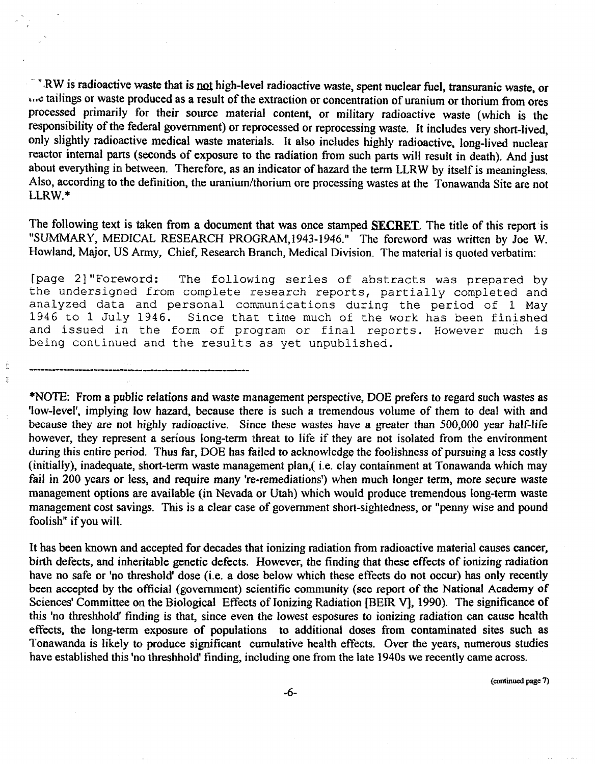\* N.W is radioactive waste that is not high-level radioactive waste, spent nuclear fuel, transuranic waste, or less tailings or waste produced as a result of the extraction or concentration of uranium or thorium from ores processed primarily for their source material content, or military radioactive waste (which is the responsibility of the federal government) or reprocessed or reprocessing waste. It includes very short-lived, only slightly radioactive medical waste materials. It also includes highly radioactive, long-lived nuclear reactor internal parts (seconds of exposure to the radiation from such parts will result in death). And just about everything in between. Therefore, as an indicator of hazard the term LLRW by itself is meaningless. Also, according to the definition, the uranium/thorium ore processing wastes at the Tonawanda Site are not LLRW.\*

The following text is taken from a document that was once stamped **SECRET**. The title of this report is "SUMMARY, MEDICAL RESEARCH PROGRAM,1943-1946." The foreword was written by Joe W. Howland. Major. US Army. Chief. Research Branch, Medical Division. The material is quoted verbatim:

[page 2] "Foreword: The following series of abstracts was prepared by the undersigned from complete research reports, partially completed and analyzed data and personal communications during the period of 1 May<br>1946 to 1 July 1946. Since that time much of the work has been finished Since that time much of the work has been finished and issued in the form of program or final reports. However much is being continued and the results as yet unpublished.

Š.  $\frac{1}{2}$ 

> \*NOTE: From a public relations and waste management perspective, DOE prefers to regard such wastes as 'low-level', implying low hazard, because there is such a tremendous volume of them to deal with and because they are not highly radioactive. Since these wastes have a greater than 500,000 year half-life however, they represent a serious long-term threat to life if they are not isolated from the environment during this entire period. Thus far, DOE has failed to acknowledge the foolishness of pursuing a less costly (initially), inadequate, short-term waste management plan,( i.e. clay containment at Tonawanda which may fail in 200 years or less, and require many 're-remediations') when much longer term, more secure waste management options are available (in Nevada or Utah) which would produce tremendous long-term waste management cost savings. This is a clear case of government short-sightedness, or "penny wise and pound foolish" if you will.

> It has been known and accepted for decades that ionizing radiation from radioactive material causes cancer, birth defects, and inheritable genetic defects. However, the finding that these effects of ionizing radiation have no safe or 'no threshold' dose (i.e. a dose below which these effects do not occur) has only recently been accepted by the official (government) scientific community (see report of the National Academy of Sciences' Committee on the Biological Effects of Ionizing Radiation [BElR V], 1990). The significance of this 'no threshhold' finding is that, since even the lowest esposures to ionizing radiation can cause health effects, the long-term exposure of populations to additional doses from contaminated sites such as Tonawanda is likely to produce significant cumulative health effects. Over the years, numerous studies have established this 'no threshhold' finding, including one from the late 1940s we recently came across.

> > (continued page 7)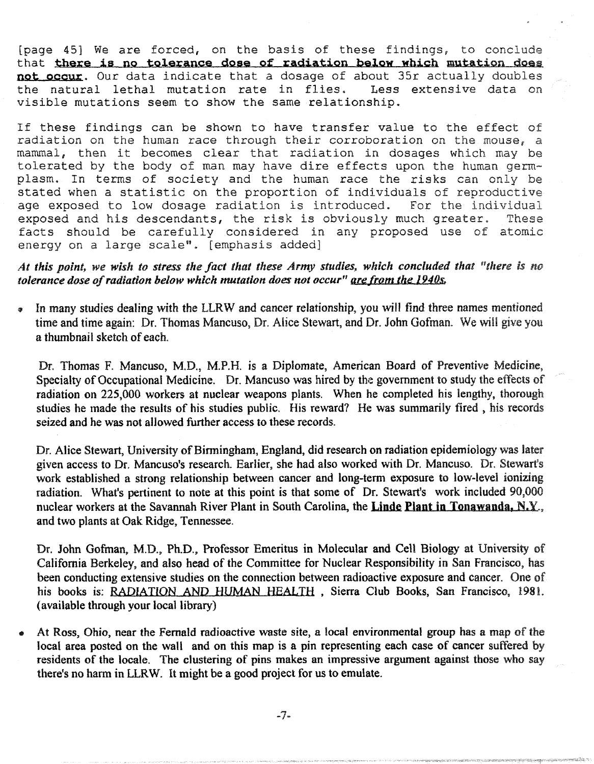(page 45] We are forced, on the basis of these findings, to conclude that there is no tolerance dose of radiation below which mutation does not occur. Our data indicate that a dosage of about 35r actually doubles<br>the natural lethal mutation rate in flies. Less extensive data on the natural lethal mutation rate in flies. visible mutations seem to show the same relationship.

If these findings can be shown to have transfer value to the effect of radiation on the human race through their corroboration on the mouse, a mammal, then it becomes clear that radiation in dosages which may be tolerated by the body of man may have dire effects upon the human germplasm. In terms of society and the human race the risks can only be stated when a statistic on the proportion of individuals of reproductive<br>age exposed to low dosage radiation is introduced. For the individual age exposed to low dosage radiation is introduced. For the individual exposed and his descendants, the risk is obviously much greater. These exposed and his descendants, the risk is obviously much greater. facts should be carefully considered in any proposed use of atomic energy on a large scale". [emphasis added]

At this point, we wish to stress the fact that these Army studies, which concluded that "there is no *tolerance dose of radiation below which mutation does not occur" arefrom the 19405.* 

In many studies dealing with the LLRW and cancer relationship, you will find three names mentioned time and time again: Dr. Thomas Mancuso, Dr. Alice Stewart, and Dr. John Gofman. We will give you a thumbnail sketch of each.

Dr. Thomas F. Mancuso, M.D., M.P.H. is a Diplomate, American Board of Preventive Medicine, Specialty of Occupational Medicine. Dr. Mancuso was hired by the government to study the effects of radiation on 225,000 workers at nuclear weapons plants. When he completed his lengthy, thorough studies he made the results of his studies public. His reward? He was summarily fired, his records seized and he was not allowed further access to these records.

Dr. Alice Stewart, University of Birmingham, England, did research on radiation epidemiology was later given access to Dr. Mancuso's research. Earlier, she had also worked with Dr. Mancuso. Dr. Stewart's work established a strong relationship between cancer and long-term exposure to low-level ionizing radiation. What's pertinent to note at this point is that some of Dr. Stewart's work included 90,000 nuclear workers at the Savannah River Plant in South Carolina, the Linde Plant in Tonawanda, N.Y. and two plants at Oak Ridge, Tennessee.

Dr. John Gofman, M.D., Ph.D., Professor Emeritus in Molecular and Cell Biology at University of California Berkeley, and also head of the Committee for Nuclear Responsibility in San Francisco, has been conducting extensive studies on the connection between radioactive exposure and cancer. One of his books is: RADIATION AND HUMAN HEALTH, Sierra Club Books, San Francisco, 1981. (available through your local library)

• At Ross, Ohio, near the Fernald radioactive waste site, a local environmental group has a map of the local area posted on the wall and on this map is a pin representing each case of cancer suffered by residents of the locale. The clustering of pins makes an impressive argument against those who say there's no harm in LLR W. It might be a good project for us to emulate.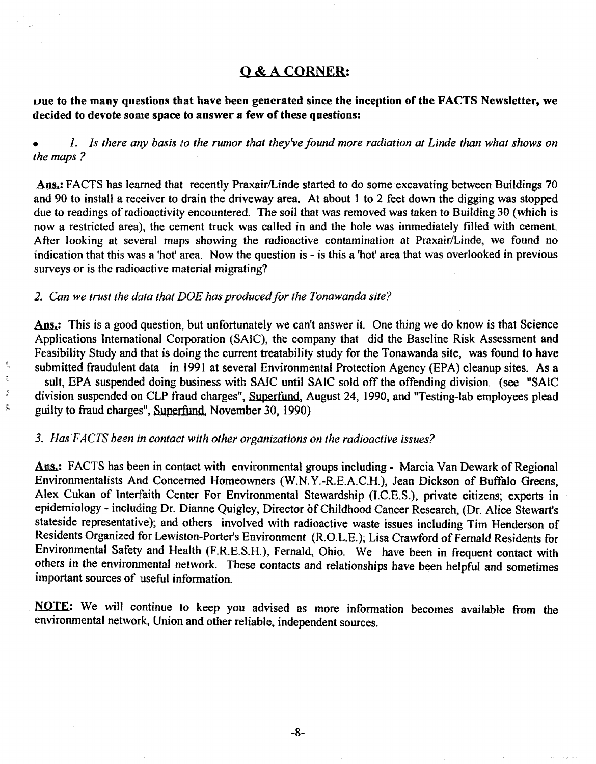# Q&ACORNER:

 $\nu$ ue to the many questions that have been generated since the inception of the FACTS Newsletter, we decided to devote some space to answer a few of these questions:

*l.* Is there any basis to the rumor that they've found more radiation at Linde than what shows on *the maps* ?

Ans.: FACTS has learned that recently Praxair/Linde started to do some excavating between Buildings 70 and 90 to install a receiver to drain the driveway area. At about 1 to 2 feet down the digging was stopped due to readings of radioactivity encountered. The soil that was removed was taken to Building 30 (which is now a restricted area), the cement truck was called in and the hole was immediately filled with cement. After looking at several maps showing the radioactive contamination at Praxair/Linde, we found no indication that this was a 'hot' area. Now the question is - is this a 'hot' area that was overlooked in previous surveys or is the radioactive material migrating?

### 2. Can we trust the data that DOE has produced for the Tonawanda site?

Ans.: This is a good question, but unfortunately we can't answer it. One thing we do know is that Science Applications International Corporation (SAIC), the company that did the Baseline Risk Assessment and Feasibility Study and that is doing the current treatability study for the Tonawanda site, was found to have submitted fraudulent data in 1991 at several Environmental Protection Agency (EPA) cleanup sites. As a suit, EPA suspended doing business with SAlC until SAIC sold off the offending division. (see "SAIC division suspended on CLP fraud charges", Superfund, August 24, 1990, and "Testing-lab employees plead guilty to fraud charges", Superfund, November 30, 1990)

#### 3. *Has FACTS been in contact with other organizations on the radioactive issues?*

Ans.: FACTS has been in contact with environmental groups including - Marcia Van Dewark of Regional Environmentalists And Concerned Homeowners (W.N.Y.-R.E.A.C.H.), Jean Dickson of Buffalo Greens, Alex Cukan of Interfaith Center For Environmental Stewardship (I.C.E.S.), private citizens; experts in epidemiology - including Dr. Dianne Quigley, Director of Childhood Cancer Research, (Dr. Alice Stewart's stateside representative); and others involved with radioactive waste issues including Tim Henderson of Residents Organized for Lewiston-Porter's Environment (R.O.L.E.); Lisa Crawford of Fernald Residents for Environmental Safety and Health (F.R.E.S.H.), Fernald, Ohio. We have been in frequent contact with others in the environmental network. These contacts and relationships have been helpful and sometimes important sources of useful information.

NOTE: We wi)) continue to keep you advised as more information becomes available from the environmental network, Union and other reliable, independent sources.